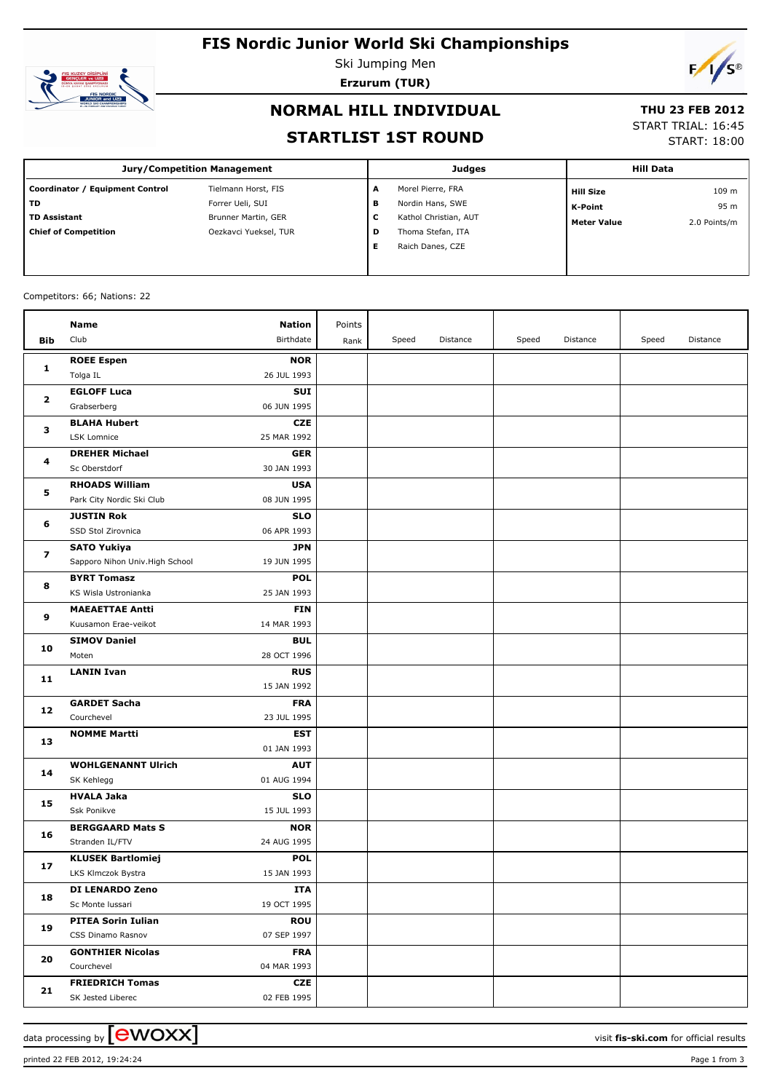# **FIS Nordic Junior World Ski Championships**



Ski Jumping Men **Erzurum (TUR)**



## **NORMAL HILL INDIVIDUAL**

#### **THU 23 FEB 2012**

#### **STARTLIST 1ST ROUND**

# START TRIAL: 16:45

START: 18:00

| <b>Jury/Competition Management</b> |                       |   | <b>Judges</b>         | <b>Hill Data</b>   |              |  |
|------------------------------------|-----------------------|---|-----------------------|--------------------|--------------|--|
| Coordinator / Equipment Control    | Tielmann Horst, FIS   | A | Morel Pierre, FRA     | <b>Hill Size</b>   | 109 m        |  |
| l TD                               | Forrer Ueli, SUI      | в | Nordin Hans, SWE      | K-Point            | 95 m         |  |
| l TD Assistant                     | Brunner Martin, GER   | c | Kathol Christian, AUT | <b>Meter Value</b> | 2.0 Points/m |  |
| Chief of Competition               | Oezkavci Yueksel, TUR | D | Thoma Stefan, ITA     |                    |              |  |
|                                    |                       |   | Raich Danes, CZE      |                    |              |  |
|                                    |                       |   |                       |                    |              |  |

#### Competitors: 66; Nations: 22

|                         | Name                                           | <b>Nation</b>             | Points |       |          |       |          |       |          |
|-------------------------|------------------------------------------------|---------------------------|--------|-------|----------|-------|----------|-------|----------|
| Bib                     | Club                                           | Birthdate                 | Rank   | Speed | Distance | Speed | Distance | Speed | Distance |
|                         | <b>ROEE Espen</b>                              | <b>NOR</b>                |        |       |          |       |          |       |          |
| 1                       | Tolga IL                                       | 26 JUL 1993               |        |       |          |       |          |       |          |
|                         | <b>EGLOFF Luca</b>                             | <b>SUI</b>                |        |       |          |       |          |       |          |
| $\mathbf{2}$            | Grabserberg                                    | 06 JUN 1995               |        |       |          |       |          |       |          |
|                         | <b>BLAHA Hubert</b>                            | <b>CZE</b>                |        |       |          |       |          |       |          |
| з                       | LSK Lomnice                                    | 25 MAR 1992               |        |       |          |       |          |       |          |
|                         | <b>DREHER Michael</b>                          | <b>GER</b>                |        |       |          |       |          |       |          |
| 4                       | Sc Oberstdorf                                  | 30 JAN 1993               |        |       |          |       |          |       |          |
|                         | <b>RHOADS William</b>                          | <b>USA</b>                |        |       |          |       |          |       |          |
| 5                       | Park City Nordic Ski Club                      | 08 JUN 1995               |        |       |          |       |          |       |          |
|                         | <b>JUSTIN Rok</b>                              | <b>SLO</b>                |        |       |          |       |          |       |          |
| 6                       | SSD Stol Zirovnica                             | 06 APR 1993               |        |       |          |       |          |       |          |
|                         | <b>SATO Yukiya</b>                             | <b>JPN</b>                |        |       |          |       |          |       |          |
| $\overline{\mathbf{z}}$ | Sapporo Nihon Univ. High School                | 19 JUN 1995               |        |       |          |       |          |       |          |
|                         | <b>BYRT Tomasz</b>                             | <b>POL</b>                |        |       |          |       |          |       |          |
| 8                       | KS Wisla Ustronianka                           | 25 JAN 1993               |        |       |          |       |          |       |          |
| 9                       | <b>MAEAETTAE Antti</b>                         | <b>FIN</b>                |        |       |          |       |          |       |          |
|                         | Kuusamon Erae-veikot                           | 14 MAR 1993               |        |       |          |       |          |       |          |
| 10                      | <b>SIMOV Daniel</b>                            | <b>BUL</b>                |        |       |          |       |          |       |          |
|                         | Moten                                          | 28 OCT 1996               |        |       |          |       |          |       |          |
| 11                      | <b>LANIN Ivan</b>                              | <b>RUS</b>                |        |       |          |       |          |       |          |
|                         |                                                | 15 JAN 1992               |        |       |          |       |          |       |          |
| 12                      | <b>GARDET Sacha</b>                            | <b>FRA</b>                |        |       |          |       |          |       |          |
|                         | Courchevel                                     | 23 JUL 1995               |        |       |          |       |          |       |          |
| 13                      | <b>NOMME Martti</b>                            | <b>EST</b>                |        |       |          |       |          |       |          |
|                         |                                                | 01 JAN 1993               |        |       |          |       |          |       |          |
| 14                      | <b>WOHLGENANNT Ulrich</b>                      | <b>AUT</b>                |        |       |          |       |          |       |          |
|                         | SK Kehlegg                                     | 01 AUG 1994               |        |       |          |       |          |       |          |
| 15                      | <b>HVALA Jaka</b>                              | <b>SLO</b>                |        |       |          |       |          |       |          |
|                         | Ssk Ponikve                                    | 15 JUL 1993               |        |       |          |       |          |       |          |
| 16                      | <b>BERGGAARD Mats S</b><br>Stranden IL/FTV     | <b>NOR</b><br>24 AUG 1995 |        |       |          |       |          |       |          |
|                         |                                                |                           |        |       |          |       |          |       |          |
| 17                      | <b>KLUSEK Bartlomiej</b><br>LKS Klmczok Bystra | <b>POL</b><br>15 JAN 1993 |        |       |          |       |          |       |          |
|                         | DI LENARDO Zeno                                | <b>ITA</b>                |        |       |          |       |          |       |          |
| 18                      | Sc Monte Iussari                               | 19 OCT 1995               |        |       |          |       |          |       |          |
|                         | <b>PITEA Sorin Iulian</b>                      | <b>ROU</b>                |        |       |          |       |          |       |          |
| 19                      | CSS Dinamo Rasnov                              | 07 SEP 1997               |        |       |          |       |          |       |          |
| 20                      | <b>GONTHIER Nicolas</b>                        | <b>FRA</b>                |        |       |          |       |          |       |          |
|                         | Courchevel                                     | 04 MAR 1993               |        |       |          |       |          |       |          |
|                         | <b>FRIEDRICH Tomas</b>                         | <b>CZE</b>                |        |       |          |       |          |       |          |
| 21                      | SK Jested Liberec                              | 02 FEB 1995               |        |       |          |       |          |       |          |
|                         |                                                |                           |        |       |          |       |          |       |          |

data processing by **CWOXX**  $\blacksquare$  and  $\blacksquare$  and  $\blacksquare$  and  $\blacksquare$  and  $\blacksquare$  and  $\blacksquare$  and  $\blacksquare$  and  $\blacksquare$  and  $\blacksquare$  and  $\blacksquare$  and  $\blacksquare$  and  $\blacksquare$  and  $\blacksquare$  and  $\blacksquare$  and  $\blacksquare$  and  $\blacksquare$  and  $\blacksquare$  and  $\blacksquare$  a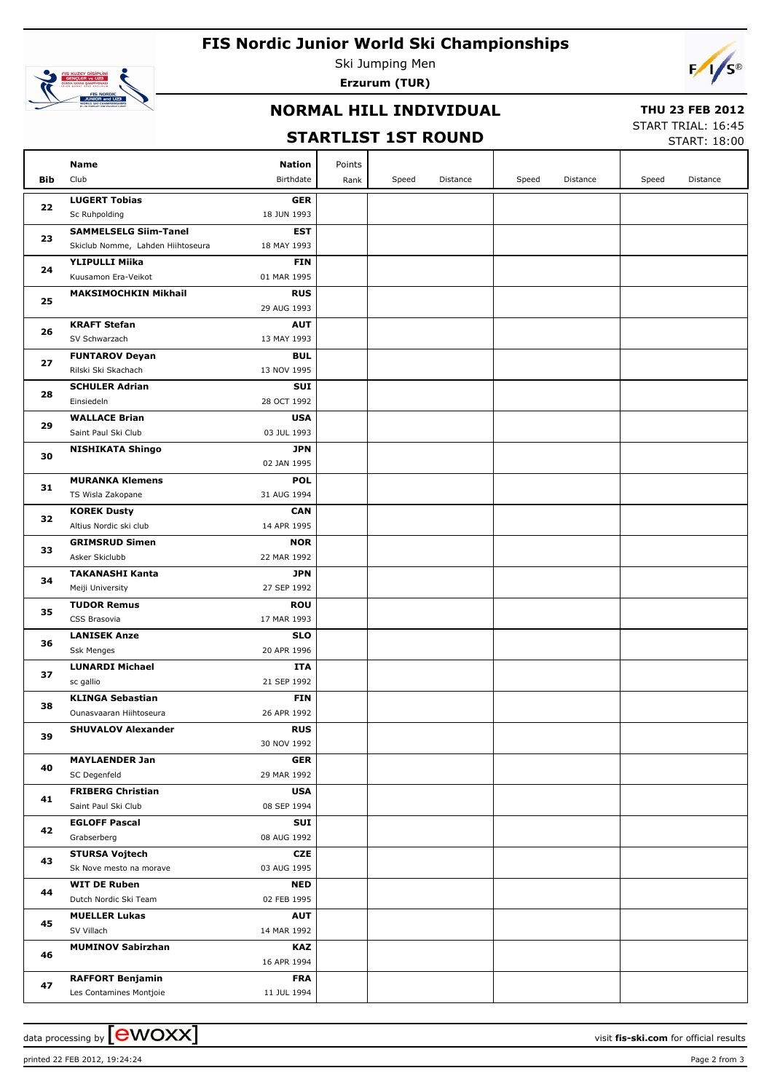# **FIS Nordic Junior World Ski Championships**



Ski Jumping Men **Erzurum (TUR)**



## **NORMAL HILL INDIVIDUAL**

#### **THU 23 FEB 2012**

## **STARTLIST 1ST ROUND**

START TRIAL: 16:45 START: 18:00

|            | JIAN LLJI<br>TAI KARIT                             |                           |        |       |          |       |          |       | START: 18:00 |
|------------|----------------------------------------------------|---------------------------|--------|-------|----------|-------|----------|-------|--------------|
|            | Name                                               | <b>Nation</b>             | Points |       |          |       |          |       |              |
| <b>Bib</b> | Club                                               | Birthdate                 | Rank   | Speed | Distance | Speed | Distance | Speed | Distance     |
|            | <b>LUGERT Tobias</b>                               | <b>GER</b>                |        |       |          |       |          |       |              |
| 22         | Sc Ruhpolding                                      | 18 JUN 1993               |        |       |          |       |          |       |              |
|            | <b>SAMMELSELG Siim-Tanel</b>                       | <b>EST</b>                |        |       |          |       |          |       |              |
| 23         | Skiclub Nomme, Lahden Hiihtoseura                  | 18 MAY 1993               |        |       |          |       |          |       |              |
|            | <b>YLIPULLI Miika</b>                              | <b>FIN</b>                |        |       |          |       |          |       |              |
| 24         | Kuusamon Era-Veikot                                | 01 MAR 1995               |        |       |          |       |          |       |              |
|            | <b>MAKSIMOCHKIN Mikhail</b>                        | <b>RUS</b>                |        |       |          |       |          |       |              |
| 25         |                                                    | 29 AUG 1993               |        |       |          |       |          |       |              |
| 26         | <b>KRAFT Stefan</b>                                | <b>AUT</b>                |        |       |          |       |          |       |              |
|            | SV Schwarzach                                      | 13 MAY 1993               |        |       |          |       |          |       |              |
| 27         | <b>FUNTAROV Deyan</b>                              | <b>BUL</b>                |        |       |          |       |          |       |              |
|            | Rilski Ski Skachach                                | 13 NOV 1995               |        |       |          |       |          |       |              |
| 28         | <b>SCHULER Adrian</b>                              | <b>SUI</b>                |        |       |          |       |          |       |              |
|            | Einsiedeln                                         | 28 OCT 1992               |        |       |          |       |          |       |              |
| 29         | <b>WALLACE Brian</b>                               | <b>USA</b>                |        |       |          |       |          |       |              |
|            | Saint Paul Ski Club                                | 03 JUL 1993               |        |       |          |       |          |       |              |
| 30         | <b>NISHIKATA Shingo</b>                            | <b>JPN</b><br>02 JAN 1995 |        |       |          |       |          |       |              |
|            | <b>MURANKA Klemens</b>                             | <b>POL</b>                |        |       |          |       |          |       |              |
| 31         | TS Wisla Zakopane                                  | 31 AUG 1994               |        |       |          |       |          |       |              |
|            | <b>KOREK Dusty</b>                                 | <b>CAN</b>                |        |       |          |       |          |       |              |
| 32         | Altius Nordic ski club                             | 14 APR 1995               |        |       |          |       |          |       |              |
|            | <b>GRIMSRUD Simen</b>                              | <b>NOR</b>                |        |       |          |       |          |       |              |
| 33         | Asker Skiclubb                                     | 22 MAR 1992               |        |       |          |       |          |       |              |
|            | <b>TAKANASHI Kanta</b>                             | <b>JPN</b>                |        |       |          |       |          |       |              |
| 34         | Meiji University                                   | 27 SEP 1992               |        |       |          |       |          |       |              |
| 35         | <b>TUDOR Remus</b>                                 | <b>ROU</b>                |        |       |          |       |          |       |              |
|            | CSS Brasovia                                       | 17 MAR 1993               |        |       |          |       |          |       |              |
| 36         | <b>LANISEK Anze</b>                                | <b>SLO</b>                |        |       |          |       |          |       |              |
|            | Ssk Menges                                         | 20 APR 1996               |        |       |          |       |          |       |              |
| 37         | <b>LUNARDI Michael</b>                             | ITA                       |        |       |          |       |          |       |              |
|            | sc gallio                                          | 21 SEP 1992               |        |       |          |       |          |       |              |
| 38         | <b>KLINGA Sebastian</b><br>Ounasvaaran Hiihtoseura | FIN<br>26 APR 1992        |        |       |          |       |          |       |              |
|            | <b>SHUVALOV Alexander</b>                          | <b>RUS</b>                |        |       |          |       |          |       |              |
| 39         |                                                    | 30 NOV 1992               |        |       |          |       |          |       |              |
|            | <b>MAYLAENDER Jan</b>                              | <b>GER</b>                |        |       |          |       |          |       |              |
| 40         | SC Degenfeld                                       | 29 MAR 1992               |        |       |          |       |          |       |              |
|            | <b>FRIBERG Christian</b>                           | <b>USA</b>                |        |       |          |       |          |       |              |
| 41         | Saint Paul Ski Club                                | 08 SEP 1994               |        |       |          |       |          |       |              |
|            | <b>EGLOFF Pascal</b>                               | <b>SUI</b>                |        |       |          |       |          |       |              |
| 42         | Grabserberg                                        | 08 AUG 1992               |        |       |          |       |          |       |              |
|            | <b>STURSA Vojtech</b>                              | <b>CZE</b>                |        |       |          |       |          |       |              |
| 43         | Sk Nove mesto na morave                            | 03 AUG 1995               |        |       |          |       |          |       |              |
| 44         | <b>WIT DE Ruben</b>                                | <b>NED</b>                |        |       |          |       |          |       |              |
| 45         | Dutch Nordic Ski Team                              | 02 FEB 1995               |        |       |          |       |          |       |              |
|            | <b>MUELLER Lukas</b>                               | <b>AUT</b>                |        |       |          |       |          |       |              |
|            | SV Villach                                         | 14 MAR 1992               |        |       |          |       |          |       |              |
| 46         | <b>MUMINOV Sabirzhan</b>                           | KAZ<br>16 APR 1994        |        |       |          |       |          |       |              |
|            |                                                    |                           |        |       |          |       |          |       |              |
| 47         | <b>RAFFORT Benjamin</b><br>Les Contamines Montjoie | <b>FRA</b><br>11 JUL 1994 |        |       |          |       |          |       |              |
|            |                                                    |                           |        |       |          |       |          |       |              |

data processing by **CWOXX** and the set of the set of the visit **fis-ski.com** for official results